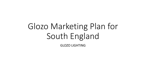# Glozo Marketing Plan for South England

GLOZO LIGHTING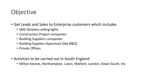### **Objective**

- Get Leads and Sales to Enterprise customers which includes
	- SME Retailers selling lights
	- Construction Project companies
	- Building Suppliers companies
	- Building Supplies Hypermart (like B&Q)
	- Private Offices
- Activities to be carried out in South England
	- Milton Keynes, Northampton, Luton, Watford, London, Down South, etc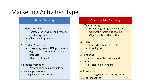## Marketing Activities Type

- 1. Brand Awareness
	- Targeted for Consumers, Retailers and Enterprises
	- Objective: Impressions
- 2. Product Awareness
	- Presenting certain USP products on digital to create awareness about products
	- Objective: Impact
- 3. Product Promotion

Presenting certain products on offers and promotions

- Objective : Conversion

#### Digital Marketing **Enterprise Sales Marketing**

#### 1. Telemarketing

- Generating a target business list
- Calling the target business lists
- **Objective: Lead Generation**
- 2. Sales
	- Converting Leads to Deals
	- **Meetings etc**
- 3. Tendering

- Registering with Tender sites like councils

- Participating in Tenders

4. Road Shows

- Arranging events for enterprises in relevant industries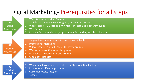#### Digital Marketing- Prerequisites for all steps

Website – with product Gallery

2. Social Media Pages – FB, Instagram, Linkedin, Pinterest

3. Video Teasers – 30 secs to 1 min max – at least 3 to 4 different types

4. Web Series

- 5. Product Brochure with major products for sending emails on inquiries
- Targeted Featured Product lists with their highlights
- 2. Promotional messaging
- 3. Video Teasers 10 to 40 secs for every product
- 4. Web series continues for this phase
- 5. Product Catalogue PDF and Printed
- 6. Global UK Price List
- 1. Whole sale E commerce website for Click to Action landing
- 2. Promotional offers on products
- 3. Customer loyalty Program
- 4. Teasers

#2 Product Awareness

#1

Brand

Awareness

#2 Product Promotion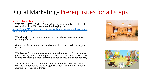### Digital Marketing- Prerequisites for all steps

#### • Decisions to be taken by Glozo

• TEASERS and Web Series- (note: Video messaging raises clicks and conversions by 80% as compared to imaging only)

[https://www.522productions.com/major-brands-use-web-video-series](https://www.522productions.com/major-brands-use-web-video-series-to-promote-products)to-promote-products

- Website with product information and details reduces your sales cycle significantly
- Global List Price should be available and discounts, cash backs given on that
- Wholesaler E commerce website where Request for Quote can be generated by clients, then reply back with final discounted price and clients can make payment transfers to bank account and get delivery
- TV Marketing can also be done on Asian and Ethnic channels which costs low amount and we have agency which is connected to 2000 channels across entire Europe



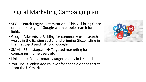### Digital Marketing Campaign plan

- SEO Search Engine Optimization This will bring Glozo on the first page of Google when people search for lights
- Google Adwords -> Bidding for commonly used search words in the lighting sector and bringing Glozo listing in the first top 3 paid listing of Google
- SMM FB, Instagram  $\rightarrow$  Targeted marketing for companies, home users etc
- Linkedin -> For corporates targeted only in UK market
- YouTube -> Video Add rollover for specific videos target from the UK market

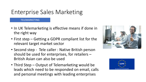#### TELEMARKETING

- In UK Telemarketing is effective means if done in the right way
- First step Getting a GDPR compliant list for the relevant target market sector
- Second step Tele caller : Native British person should be used for enterprises, for retailers – British Asian can also be used
- Third Step Output of Telemarketing would be leads which need to be responded on email, calls and personal meetings with leading enterprises



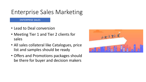#### ENTERPRISE SALES

- Lead to Deal conversion
- Meeting Tier 1 and Tier 2 clients for sales
- All sales collateral like Catalogues, price list and samples should be ready
- Offers and Promotions packages should be there for buyer and decision makers

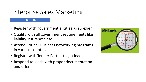#### **TENDERING**

- Register with government entities as supplier
- Quality with all government requirements like liability insurances etc
- Attend Council Business networking programs in various counties
- Register with Tender Portals to get leads
- Respond to leads with proper documentation and offer